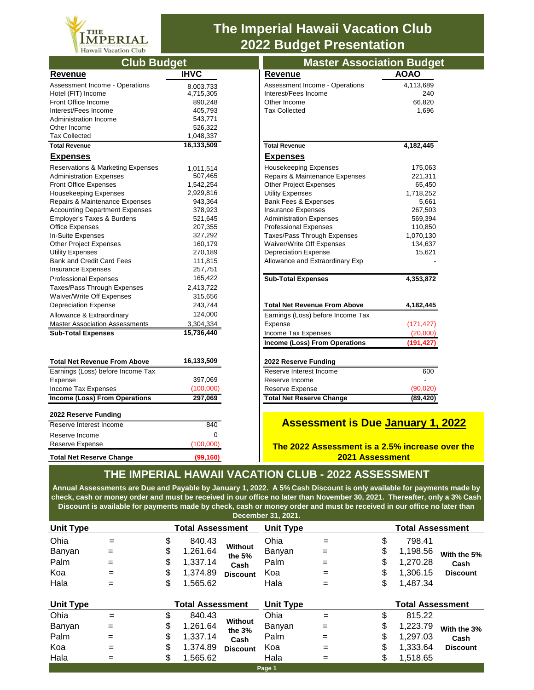

# **The Imperial Hawaii Vacation Club 2022 Budget Presentation**

| <b>Club Budget</b>                    |                                           |                                        | <b>Master Association Budge</b> |  |  |  |
|---------------------------------------|-------------------------------------------|----------------------------------------|---------------------------------|--|--|--|
| <b>Revenue</b>                        | <b>IHVC</b>                               | <b>Revenue</b>                         | <b>AOAO</b>                     |  |  |  |
| <b>Assessment Income - Operations</b> | 8.003.733                                 | Assessment Income - Operations         | 4,113,689                       |  |  |  |
| Hotel (FIT) Income                    | 4,715,305                                 | Interest/Fees Income                   | 240                             |  |  |  |
| Front Office Income                   | 890,248                                   | Other Income                           | 66,820                          |  |  |  |
| Interest/Fees Income                  | 405,793                                   | <b>Tax Collected</b>                   | 1,696                           |  |  |  |
| Administration Income                 | 543,771                                   |                                        |                                 |  |  |  |
| Other Income                          | 526,322                                   |                                        |                                 |  |  |  |
| <b>Tax Collected</b>                  | 1,048,337                                 |                                        |                                 |  |  |  |
| <b>Total Revenue</b>                  | 16,133,509                                | <b>Total Revenue</b>                   | 4,182,445                       |  |  |  |
| <b>Expenses</b>                       |                                           | <b>Expenses</b>                        |                                 |  |  |  |
| Reservations & Marketing Expenses     | 1,011,514                                 | Housekeeping Expenses                  | 175,063                         |  |  |  |
| <b>Administration Expenses</b>        | 507,465                                   | Repairs & Maintenance Expenses         | 221,311                         |  |  |  |
| <b>Front Office Expenses</b>          | 1,542,254                                 | <b>Other Project Expenses</b>          | 65,450                          |  |  |  |
| <b>Housekeeping Expenses</b>          | 2,929,816                                 | <b>Utility Expenses</b>                | 1,718,252                       |  |  |  |
| Repairs & Maintenance Expenses        | 943,364                                   | <b>Bank Fees &amp; Expenses</b>        | 5,661                           |  |  |  |
| <b>Accounting Department Expenses</b> | 378,923                                   | <b>Insurance Expenses</b>              | 267,503                         |  |  |  |
| Employer's Taxes & Burdens            | 521,645<br><b>Administration Expenses</b> |                                        | 569,394                         |  |  |  |
| <b>Office Expenses</b>                | 207,355                                   | <b>Professional Expenses</b>           | 110,850                         |  |  |  |
| In-Suite Expenses                     | 327,292                                   | Taxes/Pass Through Expenses            | 1,070,130                       |  |  |  |
| <b>Other Project Expenses</b>         | 160,179<br>Waiver/Write Off Expenses      |                                        | 134,637                         |  |  |  |
| <b>Utility Expenses</b>               | 270,189                                   | <b>Depreciation Expense</b>            | 15,621                          |  |  |  |
| <b>Bank and Credit Card Fees</b>      | 111,815                                   | Allowance and Extraordinary Exp        |                                 |  |  |  |
| <b>Insurance Expenses</b>             | 257,751                                   |                                        |                                 |  |  |  |
| <b>Professional Expenses</b>          | 165,422                                   | <b>Sub-Total Expenses</b>              | 4,353,872                       |  |  |  |
| Taxes/Pass Through Expenses           | 2,413,722                                 |                                        |                                 |  |  |  |
| Waiver/Write Off Expenses             | 315,656                                   |                                        |                                 |  |  |  |
| <b>Depreciation Expense</b>           | 243,744                                   | <b>Total Net Revenue From Above</b>    | 4,182,445                       |  |  |  |
| Allowance & Extraordinary             | 124,000                                   | Earnings (Loss) before Income Tax      |                                 |  |  |  |
| <b>Master Association Assessments</b> | 3,304,334                                 | Expense                                | (171, 427)                      |  |  |  |
| <b>Sub-Total Expenses</b>             | 15,736,440                                | Income Tax Expenses                    | (20,000)                        |  |  |  |
|                                       |                                           | Income (Loss) From Operations          | (191, 427)                      |  |  |  |
| <b>Total Net Revenue From Above</b>   | 16,133,509                                | 2022 Reserve Funding                   |                                 |  |  |  |
| Earnings (Loss) before Income Tax     |                                           | Reserve Interest Income                | 600                             |  |  |  |
| Expense                               | 397,069                                   | Reserve Income                         |                                 |  |  |  |
| Income Tax Expenses                   | (100,000)                                 | Reserve Expense                        | (90, 020)                       |  |  |  |
| Income (Loss) From Operations         | 297,069                                   | <b>Total Net Reserve Change</b>        | (89, 420)                       |  |  |  |
| 2022 Reserve Funding                  |                                           |                                        |                                 |  |  |  |
| Reserve Interest Income               | 840                                       | <b>Assessment is Due January 1</b>     |                                 |  |  |  |
| Reserve Income                        | 0                                         |                                        |                                 |  |  |  |
| Reserve Expense                       | (100,000)                                 | The 2022 Assessment is a 2.5% increase |                                 |  |  |  |
| <b>Total Net Reserve Change</b>       | (99, 160)                                 |                                        | <b>2021 Assessment</b>          |  |  |  |

| <b>Master Association Budget</b>     |             |
|--------------------------------------|-------------|
| <b>Revenue</b>                       | <b>AOAO</b> |
| Assessment Income - Operations       | 4,113,689   |
| Interest/Fees Income                 | 240         |
| Other Income                         | 66,820      |
| <b>Tax Collected</b>                 | 1.696       |
|                                      |             |
|                                      |             |
| <b>Total Revenue</b>                 | 4,182,445   |
| <b>Expenses</b>                      |             |
| <b>Housekeeping Expenses</b>         | 175,063     |
| Repairs & Maintenance Expenses       | 221,311     |
| <b>Other Project Expenses</b>        | 65,450      |
| <b>Utility Expenses</b>              | 1,718,252   |
| <b>Bank Fees &amp; Expenses</b>      | 5,661       |
| <b>Insurance Expenses</b>            | 267,503     |
| <b>Administration Expenses</b>       | 569,394     |
| <b>Professional Expenses</b>         | 110,850     |
| Taxes/Pass Through Expenses          | 1,070,130   |
| Waiver/Write Off Expenses            | 134,637     |
| <b>Depreciation Expense</b>          | 15,621      |
| Allowance and Extraordinary Exp      |             |
| <b>Sub-Total Expenses</b>            | 4,353,872   |
| <b>Total Net Revenue From Above</b>  | 4,182,445   |
| Earnings (Loss) before Income Tax    |             |
| Expense                              | (171, 427)  |
| Income Tax Expenses                  | (20,000)    |
| <b>Income (Loss) From Operations</b> | (191, 427)  |
| 2022 Reserve Funding                 |             |
| Reserve Interest Income              | 600         |
| Reserve Income                       |             |
| Reserve Expense                      | (90.020     |
| <b>Total Net Reserve Change</b>      | (89, 420)   |
|                                      |             |

### **Assessment is Due January 1, 2022**

**The 2022 Assessment is a 2.5% increase over the 2021 Assessment**

## **THE IMPERIAL HAWAII VACATION CLUB - 2022 ASSESSMENT**

**Annual Assessments are Due and Payable by January 1, 2022. A 5% Cash Discount is only available for payments made by check, cash or money order and must be received in our office no later than November 30, 2021. Thereafter, only a 3% Cash Discount is available for payments made by check, cash or money order and must be received in our office no later than December 31, 2021.**

| <b>Unit Type</b>                      |                                 |                            | <b>Total Assessment</b>                                |                                              | <b>Unit Type</b>                      |                                 | <b>Total Assessment</b>    |                                                        |                                        |  |
|---------------------------------------|---------------------------------|----------------------------|--------------------------------------------------------|----------------------------------------------|---------------------------------------|---------------------------------|----------------------------|--------------------------------------------------------|----------------------------------------|--|
| Ohia<br>Banyan<br>Palm<br>Koa<br>Hala | $=$<br>$=$<br>$=$<br>$=$<br>$=$ | \$<br>\$<br>\$<br>\$<br>\$ | 840.43<br>1,261.64<br>1,337.14<br>1,374.89<br>1,565.62 | Without<br>the 5%<br>Cash<br><b>Discount</b> | Ohia<br>Banyan<br>Palm<br>Koa<br>Hala | $=$<br>$=$<br>$=$<br>$=$<br>$=$ | \$<br>\$<br>\$<br>\$<br>\$ | 798.41<br>1,198.56<br>1,270.28<br>1,306.15<br>1,487.34 | With the 5%<br>Cash<br><b>Discount</b> |  |
| <b>Unit Type</b>                      |                                 | <b>Total Assessment</b>    |                                                        |                                              | <b>Unit Type</b>                      |                                 |                            | <b>Total Assessment</b>                                |                                        |  |
| Ohia                                  | $=$                             | \$                         | 840.43                                                 |                                              | Ohia                                  | $=$                             | \$                         | 815.22                                                 |                                        |  |
| Banyan                                | $=$                             | \$                         | 1,261.64                                               | Without<br>the 3%                            | Banyan                                | $=$                             | \$                         | 1,223.79                                               | With the 3%                            |  |
| Palm                                  | $=$                             | \$                         | 1,337.14                                               | Cash                                         | Palm                                  | $=$                             | \$                         | 1,297.03                                               | Cash                                   |  |
| Koa                                   | $=$                             | \$                         | 1,374.89                                               | <b>Discount</b>                              | Koa                                   | $=$                             | \$                         | 1,333.64                                               | <b>Discount</b>                        |  |
| Hala                                  | $=$                             | \$                         | 1,565.62                                               |                                              | Hala                                  | $=$                             | \$                         | 1,518.65                                               |                                        |  |
| Page 1                                |                                 |                            |                                                        |                                              |                                       |                                 |                            |                                                        |                                        |  |